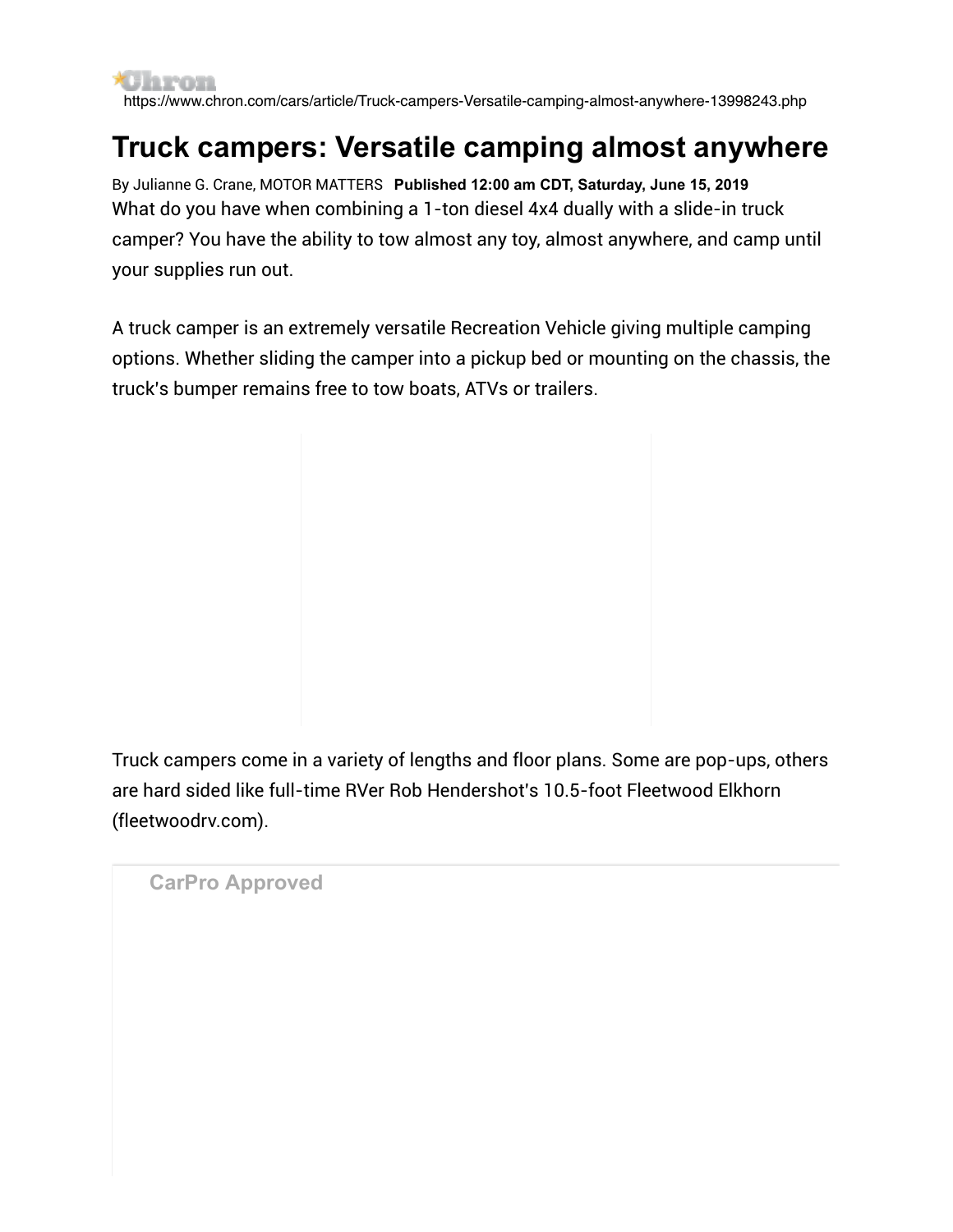**\*Claron** https://www.chron.com/cars/article/Truck-campers-Versatile-camping-almost-anywhere-13998243.php

## **Truck campers: Versatile camping almost anywhere**

By Julianne G. Crane, MOTOR MATTERS **Published 12:00 am CDT, Saturday, June 15, 2019** What do you have when combining a 1-ton diesel 4x4 dually with a slide-in truck camper? You have the ability to tow almost any toy, almost anywhere, and camp until your supplies run out.

A truck camper is an extremely versatile Recreation Vehicle giving multiple camping options. Whether sliding the camper into a pickup bed or mounting on the chassis, the truck's bumper remains free to tow boats, ATVs or trailers.

Truck campers come in a variety of lengths and floor plans. Some are pop-ups, others are hard sided like full-time RVer Rob Hendershot's 10.5-foot Fleetwood Elkhorn (fleetwoodrv.com).

**CarPro Approved**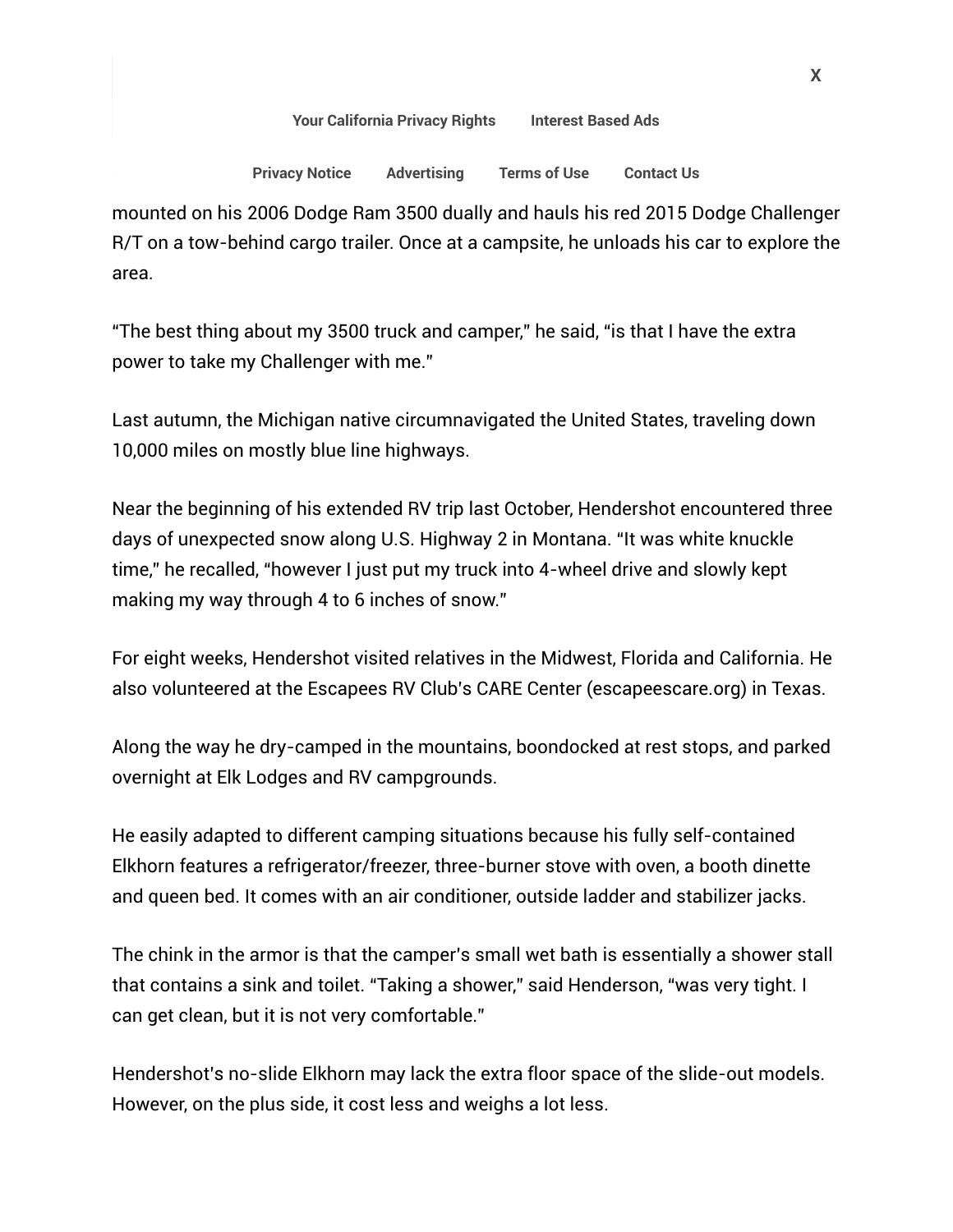[Your California Privacy Rights](https://www.chron.com/privacy_policy/#caprivacyrights) [Interest Based Ads](https://www.chron.com/privacy_policy/#interestbasedads)

## rivacy nonce Auventising Flerins of Ose Contact Os Privacy Notice Advertising Terms of Use Contact Us

mounted on his 2006 Dodge Ram 3500 dually and hauls his red 2015 Dodge Challenger R/T on a tow-behind cargo trailer. Once at a campsite, he unloads his car to explore the area.

"The best thing about my 3500 truck and camper," he said, "is that I have the extra power to take my Challenger with me."

Last autumn, the Michigan native circumnavigated the United States, traveling down 10,000 miles on mostly blue line highways.

Near the beginning of his extended RV trip last October, Hendershot encountered three days of unexpected snow along U.S. Highway 2 in Montana. "It was white knuckle time," he recalled, "however I just put my truck into 4-wheel drive and slowly kept making my way through 4 to 6 inches of snow."

For eight weeks, Hendershot visited relatives in the Midwest, Florida and California. He also volunteered at the Escapees RV Club's CARE Center (escapeescare.org) in Texas.

Along the way he dry-camped in the mountains, boondocked at rest stops, and parked overnight at Elk Lodges and RV campgrounds.

He easily adapted to different camping situations because his fully self-contained Elkhorn features a refrigerator/freezer, three-burner stove with oven, a booth dinette and queen bed. It comes with an air conditioner, outside ladder and stabilizer jacks.

The chink in the armor is that the camper's small wet bath is essentially a shower stall that contains a sink and toilet. "Taking a shower," said Henderson, "was very tight. I can get clean, but it is not very comfortable."

Hendershot's no-slide Elkhorn may lack the extra floor space of the slide-out models. However, on the plus side, it cost less and weighs a lot less.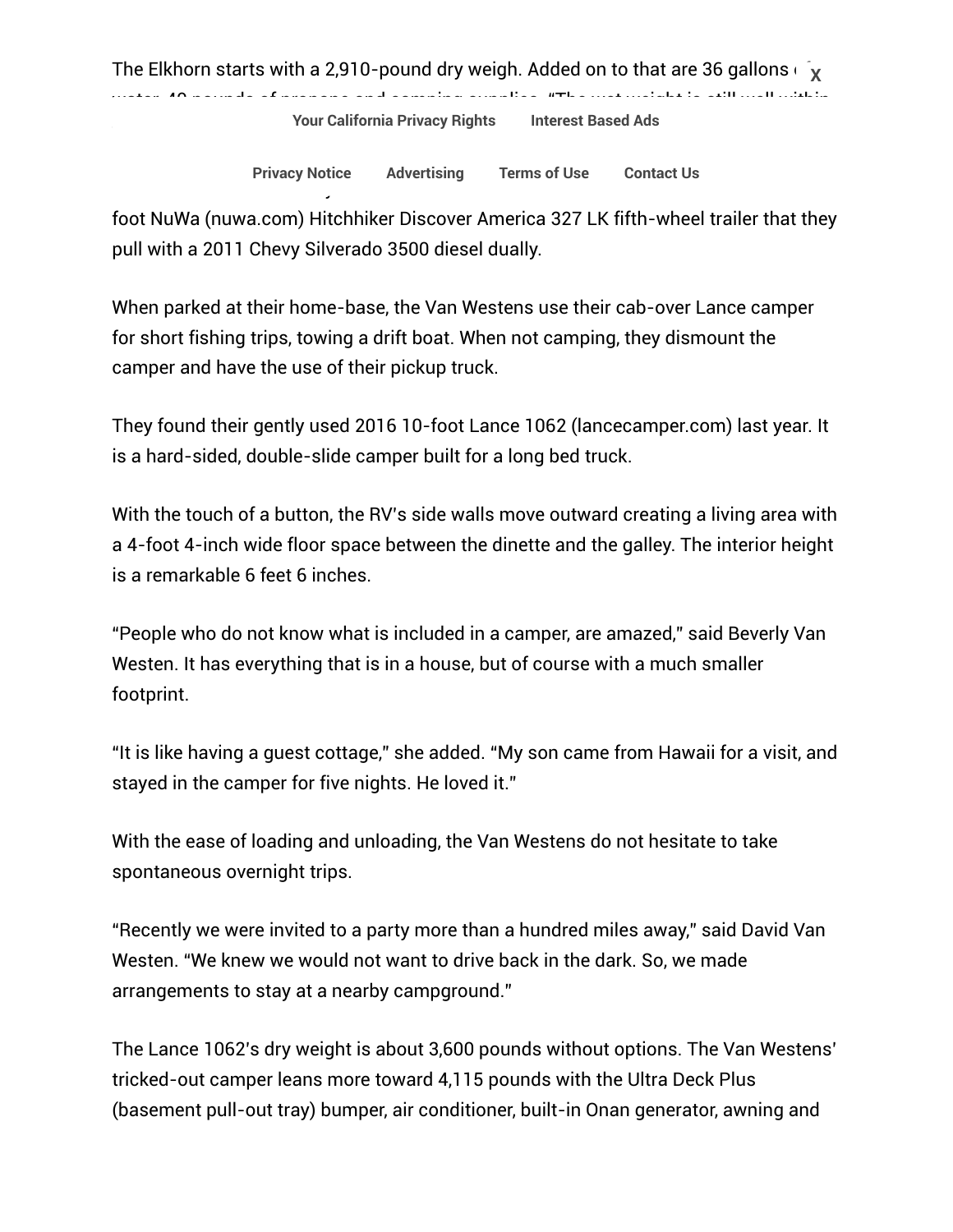The Elkhorn starts with a 2,910-pound dry weigh. Added on to that are 36 gallons  $\overline{\phantom{a}}$   $\overline{\phantom{a}}$ water, 40 pounds of propane and camping supplies. "The wet weight is still well within

[Your California Privacy Rights](https://www.chron.com/privacy_policy/#caprivacyrights) [Interest Based Ads](https://www.chron.com/privacy_policy/#interestbasedads)

Retirees David and Beverly Van Westen of North Dakota live full-time in their 2008 33- [Privacy Notice](https://www.chron.com/privacy_policy) [Advertising](http://marketing.chron.com/) [Terms of Use](https://www.chron.com/terms_of_use) [Contact Us](https://myaccount.houstonchronicle.com/FAQ.aspx)

foot NuWa (nuwa.com) Hitchhiker Discover America 327 LK fifth-wheel trailer that they pull with a 2011 Chevy Silverado 3500 diesel dually.

When parked at their home-base, the Van Westens use their cab-over Lance camper for short fishing trips, towing a drift boat. When not camping, they dismount the camper and have the use of their pickup truck.

They found their gently used 2016 10-foot Lance 1062 (lancecamper.com) last year. It is a hard-sided, double-slide camper built for a long bed truck.

With the touch of a button, the RV's side walls move outward creating a living area with a 4-foot 4-inch wide floor space between the dinette and the galley. The interior height is a remarkable 6 feet 6 inches.

"People who do not know what is included in a camper, are amazed," said Beverly Van Westen. It has everything that is in a house, but of course with a much smaller footprint.

"It is like having a guest cottage," she added. "My son came from Hawaii for a visit, and stayed in the camper for five nights. He loved it."

With the ease of loading and unloading, the Van Westens do not hesitate to take spontaneous overnight trips.

"Recently we were invited to a party more than a hundred miles away," said David Van Westen. "We knew we would not want to drive back in the dark. So, we made arrangements to stay at a nearby campground."

The Lance 1062's dry weight is about 3,600 pounds without options. The Van Westens' tricked-out camper leans more toward 4,115 pounds with the Ultra Deck Plus (basement pull-out tray) bumper, air conditioner, built-in Onan generator, awning and